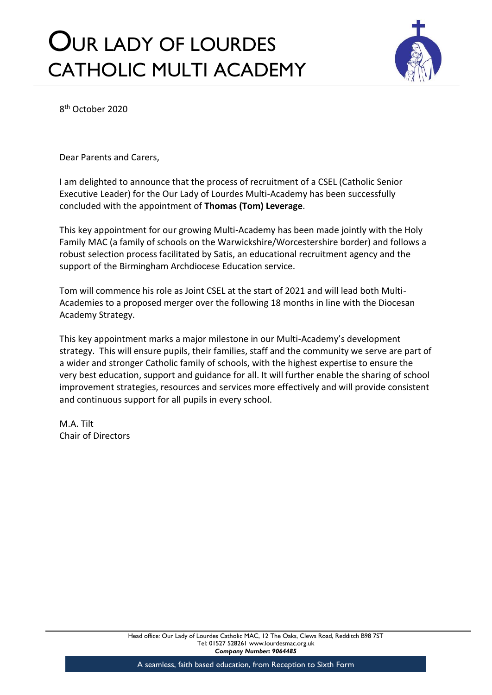## OUR LADY OF LOURDES CATHOLIC MULTI ACADEMY



8 th October 2020

Dear Parents and Carers,

I am delighted to announce that the process of recruitment of a CSEL (Catholic Senior Executive Leader) for the Our Lady of Lourdes Multi-Academy has been successfully concluded with the appointment of **Thomas (Tom) Leverage**.

This key appointment for our growing Multi-Academy has been made jointly with the Holy Family MAC (a family of schools on the Warwickshire/Worcestershire border) and follows a robust selection process facilitated by Satis, an educational recruitment agency and the support of the Birmingham Archdiocese Education service.

Tom will commence his role as Joint CSEL at the start of 2021 and will lead both Multi-Academies to a proposed merger over the following 18 months in line with the Diocesan Academy Strategy.

This key appointment marks a major milestone in our Multi-Academy's development strategy. This will ensure pupils, their families, staff and the community we serve are part of a wider and stronger Catholic family of schools, with the highest expertise to ensure the very best education, support and guidance for all. It will further enable the sharing of school improvement strategies, resources and services more effectively and will provide consistent and continuous support for all pupils in every school.

M.A. Tilt Chair of Directors